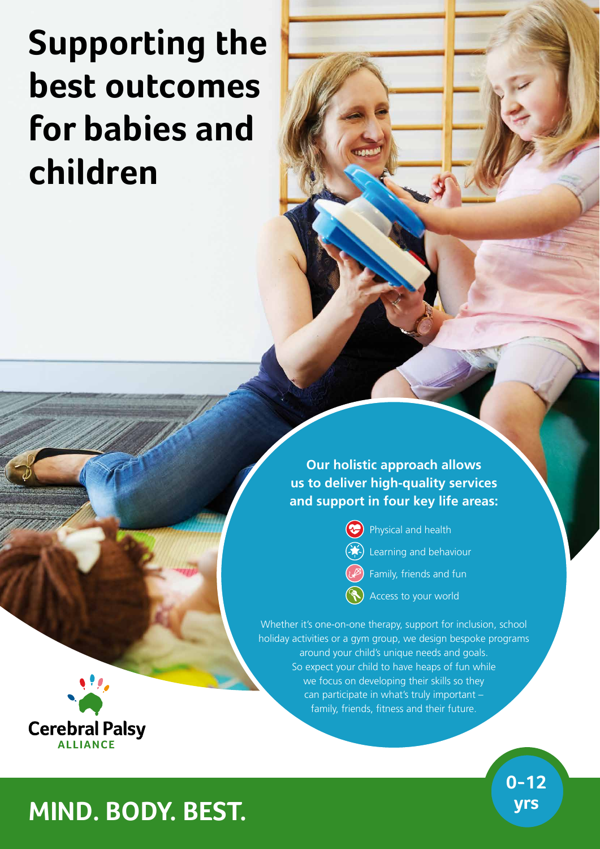# **Supporting the best outcomes for babies and children**

**Our holistic approach allows us to deliver high-quality services and support in four key life areas:**

Physical and health

- Learning and behaviour
- Family, friends and fun
- Access to your world

Whether it's one-on-one therapy, support for inclusion, school holiday activities or a gym group, we design bespoke programs around your child's unique needs and goals. So expect your child to have heaps of fun while we focus on developing their skills so they can participate in what's truly important – family, friends, fitness and their future.



**0-12** 

## **yrs MIND. BODY. BEST.**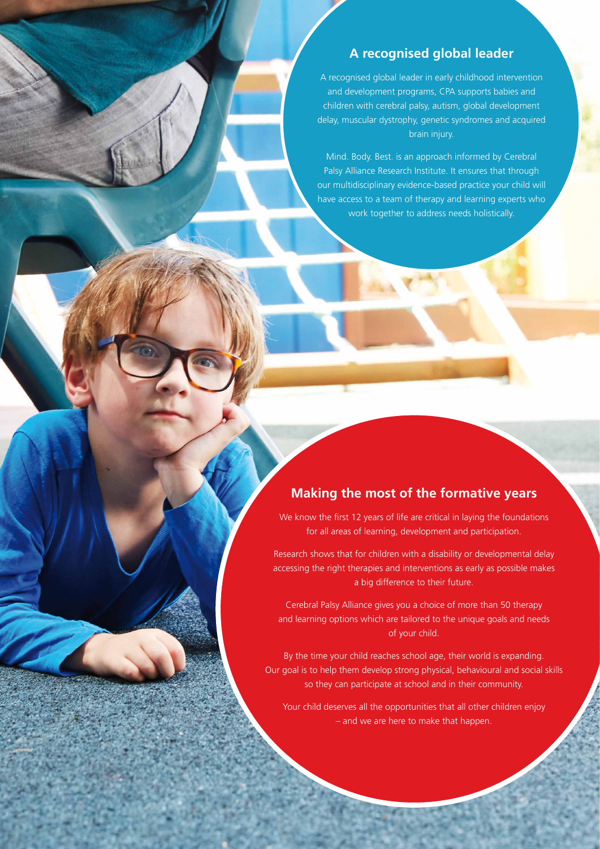### **A recognised global leader**

A recognised global leader in early childhood intervention and development programs, CPA supports babies and children with cerebral palsy, autism, global development delay, muscular dystrophy, genetic syndromes and acquired brain injury.

Mind. Body. Best. is an approach informed by Cerebral Palsy Alliance Research Institute. It ensures that through our multidisciplinary evidence-based practice your child will have access to a team of therapy and learning experts who work together to address needs holistically.

### **Making the most of the formative years**

We know the first 12 years of life are critical in laying the foundations for all areas of learning, development and participation.

Research shows that for children with a disability or developmental delay accessing the right therapies and interventions as early as possible makes a big difference to their future.

Cerebral Palsy Alliance gives you a choice of more than 50 therapy and learning options which are tailored to the unique goals and needs of your child.

By the time your child reaches school age, their world is expanding. Our goal is to help them develop strong physical, behavioural and social skills so they can participate at school and in their community.

Your child deserves all the opportunities that all other children enjoy – and we are here to make that happen.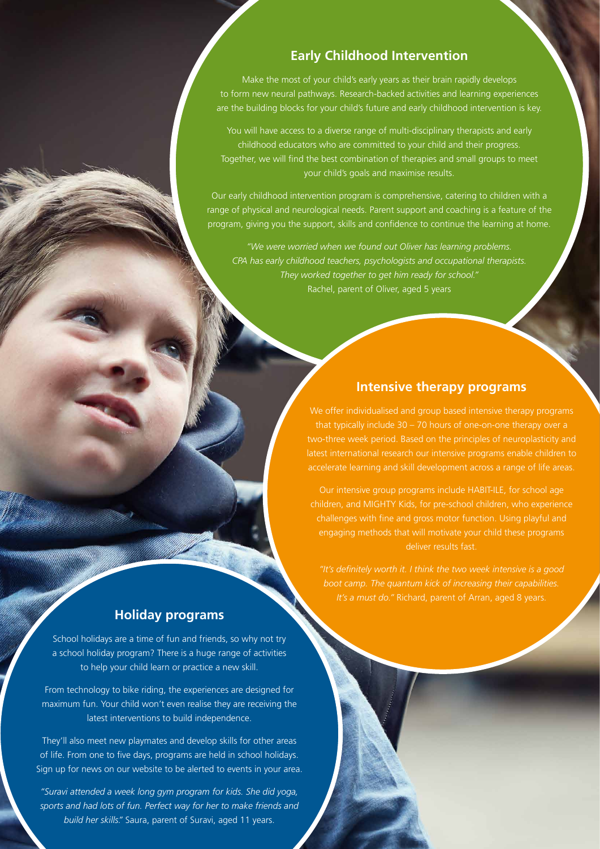### **Early Childhood Intervention**

Make the most of your child's early years as their brain rapidly develops to form new neural pathways. Research-backed activities and learning experiences are the building blocks for your child's future and early childhood intervention is key.

You will have access to a diverse range of multi-disciplinary therapists and early childhood educators who are committed to your child and their progress. Together, we will find the best combination of therapies and small groups to meet your child's goals and maximise results.

Our early childhood intervention program is comprehensive, catering to children with a range of physical and neurological needs. Parent support and coaching is a feature of the program, giving you the support, skills and confidence to continue the learning at home.

*"We were worried when we found out Oliver has learning problems. CPA has early childhood teachers, psychologists and occupational therapists. They worked together to get him ready for school."* Rachel, parent of Oliver, aged 5 years

#### **Intensive therapy programs**

We offer individualised and group based intensive therapy programs that typically include 30 – 70 hours of one-on-one therapy over a two-three week period. Based on the principles of neuroplasticity and latest international research our intensive programs enable children to

children, and MIGHTY Kids, for pre-school children, who experience challenges with fine and gross motor function. Using playful and engaging methods that will motivate your child these programs deliver results fast.

*"It's definitely worth it. I think the two week intensive is a good boot camp. The quantum kick of increasing their capabilities. It's a must do."* Richard, parent of Arran, aged 8 years.

### **Holiday programs**

School holidays are a time of fun and friends, so why not try a school holiday program? There is a huge range of activities to help your child learn or practice a new skill.

From technology to bike riding, the experiences are designed for maximum fun. Your child won't even realise they are receiving the latest interventions to build independence.

They'll also meet new playmates and develop skills for other areas of life. From one to five days, programs are held in school holidays. Sign up for news on our website to be alerted to events in your area.

*"Suravi attended a week long gym program for kids. She did yoga, sports and had lots of fun. Perfect way for her to make friends and build her skills."* Saura, parent of Suravi, aged 11 years.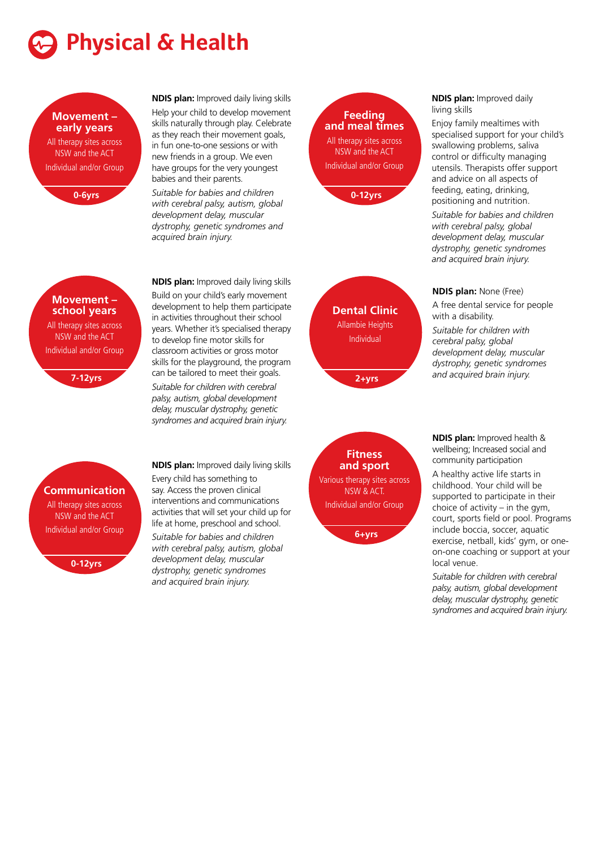

#### **Movement – early years**

All therapy sites across NSW and the ACT Individual and/or Group



**NDIS plan:** Improved daily living skills Help your child to develop movement

skills naturally through play. Celebrate as they reach their movement goals, in fun one-to-one sessions or with new friends in a group. We even have groups for the very youngest babies and their parents.

*Suitable for babies and children with cerebral palsy, autism, global development delay, muscular dystrophy, genetic syndromes and acquired brain injury.*

### **Feeding and meal times** All therapy sites across NSW and the ACT Individual and/or Group



**Dental Clinic** Allambie Heights Individual

**2+yrs** 

#### **NDIS plan:** Improved daily living skills

Enjoy family mealtimes with specialised support for your child's swallowing problems, saliva control or difficulty managing utensils. Therapists offer support and advice on all aspects of feeding, eating, drinking, positioning and nutrition.

*Suitable for babies and children with cerebral palsy, global development delay, muscular dystrophy, genetic syndromes and acquired brain injury.*

#### **NDIS plan:** None (Free)

A free dental service for people with a disability.

*Suitable for children with cerebral palsy, global development delay, muscular dystrophy, genetic syndromes and acquired brain injury.*

**NDIS plan:** Improved health &

wellbeing; Increased social and community participation

A healthy active life starts in childhood. Your child will be supported to participate in their choice of activity – in the gym, court, sports field or pool. Programs include boccia, soccer, aquatic exercise, netball, kids' gym, or oneon-one coaching or support at your local venue.

*Suitable for children with cerebral palsy, autism, global development delay, muscular dystrophy, genetic syndromes and acquired brain injury.*

**Movement – school years**

All therapy sites across NSW and the ACT Individual and/or Group

**7-12yrs**

**NDIS plan:** Improved daily living skills Build on your child's early movement development to help them participate in activities throughout their school years. Whether it's specialised therapy to develop fine motor skills for classroom activities or gross motor skills for the playground, the program can be tailored to meet their goals. *Suitable for children with cerebral palsy, autism, global development delay, muscular dystrophy, genetic syndromes and acquired brain injury.*

### **Communication**

All therapy sites across NSW and the ACT Individual and/or Group

**0-12yrs**

**NDIS plan:** Improved daily living skills Every child has something to say. Access the proven clinical

interventions and communications activities that will set your child up for life at home, preschool and school.

*Suitable for babies and children with cerebral palsy, autism, global development delay, muscular dystrophy, genetic syndromes and acquired brain injury.*

**Fitness and sport** Various therapy sites across NSW & ACT. Individual and/or Group

**6+yrs**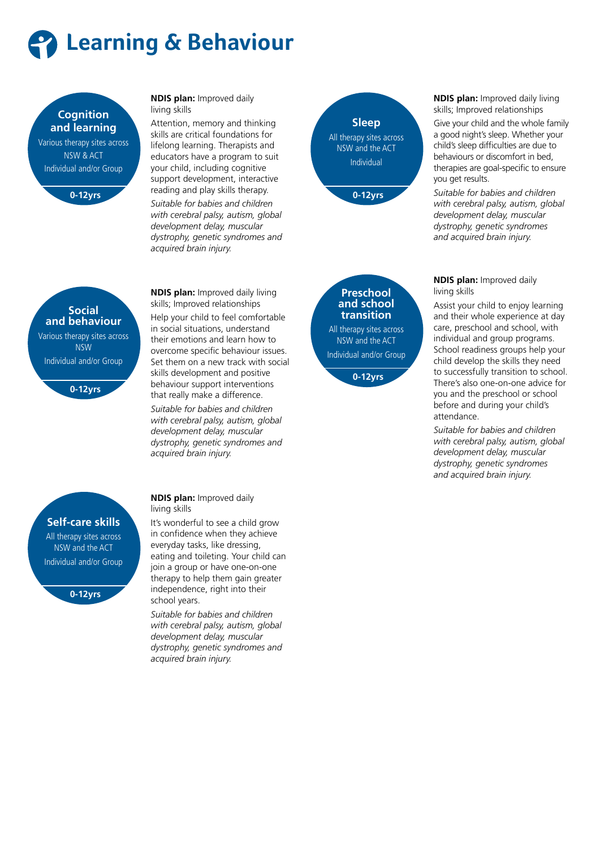



#### **NDIS plan:** Improved daily living skills

Attention, memory and thinking skills are critical foundations for lifelong learning. Therapists and educators have a program to suit your child, including cognitive support development, interactive reading and play skills therapy. *Suitable for babies and children with cerebral palsy, autism, global development delay, muscular dystrophy, genetic syndromes and acquired brain injury.*



**NDIS plan:** Improved daily living skills; Improved relationships Give your child and the whole family a good night's sleep. Whether your child's sleep difficulties are due to behaviours or discomfort in bed, therapies are goal-specific to ensure you get results.

*Suitable for babies and children with cerebral palsy, autism, global development delay, muscular dystrophy, genetic syndromes and acquired brain injury.*

**NDIS plan:** Improved daily living skills

Assist your child to enjoy learning and their whole experience at day care, preschool and school, with individual and group programs. School readiness groups help your child develop the skills they need to successfully transition to school. There's also one-on-one advice for you and the preschool or school before and during your child's attendance.

*Suitable for babies and children with cerebral palsy, autism, global development delay, muscular dystrophy, genetic syndromes and acquired brain injury.*

**NDIS plan:** Improved daily living skills; Improved relationships Help your child to feel comfortable in social situations, understand their emotions and learn how to overcome specific behaviour issues. Set them on a new track with social skills development and positive behaviour support interventions that really make a difference. *Suitable for babies and children with cerebral palsy, autism, global development delay, muscular dystrophy, genetic syndromes and acquired brain injury.*

**NDIS plan:** Improved daily living skills

It's wonderful to see a child grow in confidence when they achieve everyday tasks, like dressing, eating and toileting. Your child can join a group or have one-on-one therapy to help them gain greater independence, right into their school years.

*Suitable for babies and children with cerebral palsy, autism, global development delay, muscular dystrophy, genetic syndromes and acquired brain injury.*

**Self-care skills**

All therapy sites across NSW and the ACT Individual and/or Group

**0-12yrs**



Various therapy sites across

**Preschool and school transition** All therapy sites across

Individual and/or Group **0-12yrs**

NSW and the ACT

**Social and behaviour**

NSW Individual and/or Group

**0-12yrs**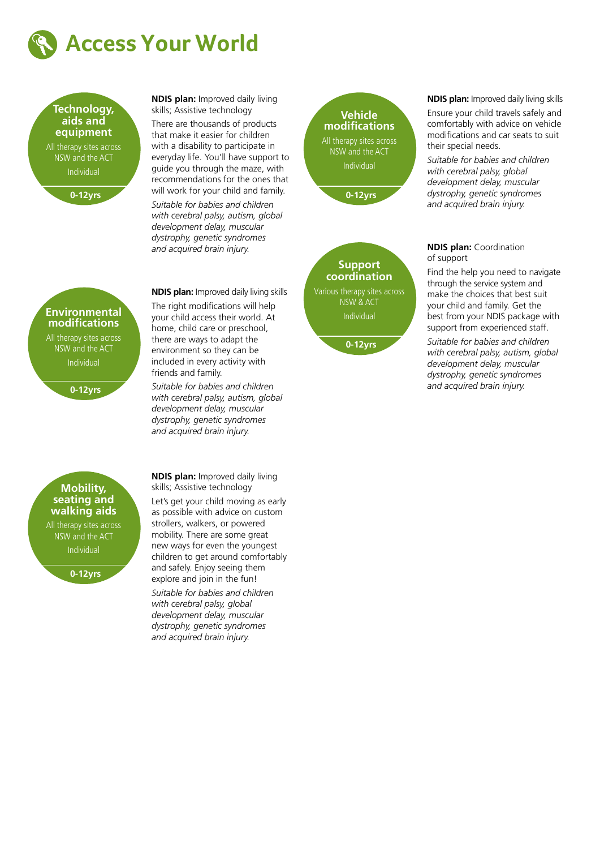



**NDIS plan:** Improved daily living skills; Assistive technology

There are thousands of products that make it easier for children with a disability to participate in everyday life. You'll have support to guide you through the maze, with recommendations for the ones that will work for your child and family.

*Suitable for babies and children with cerebral palsy, autism, global development delay, muscular dystrophy, genetic syndromes and acquired brain injury.*

### **Vehicle modifications** All therapy sites across NSW and the ACT Individual **0-12yrs**



**0-12yrs**

#### **NDIS plan:** Improved daily living skills

Ensure your child travels safely and comfortably with advice on vehicle modifications and car seats to suit their special needs.

*Suitable for babies and children with cerebral palsy, global development delay, muscular dystrophy, genetic syndromes and acquired brain injury.*

#### **NDIS plan:** Coordination of support

Find the help you need to navigate through the service system and make the choices that best suit your child and family. Get the best from your NDIS package with support from experienced staff.

*Suitable for babies and children with cerebral palsy, autism, global development delay, muscular dystrophy, genetic syndromes and acquired brain injury.*

#### **Environmental modifications**

All therapy sites across NSW and the ACT Individual

**0-12yrs**

**NDIS plan:** Improved daily living skills The right modifications will help your child access their world. At home, child care or preschool, there are ways to adapt the environment so they can be included in every activity with friends and family.

*Suitable for babies and children with cerebral palsy, autism, global development delay, muscular dystrophy, genetic syndromes and acquired brain injury.*

#### **Mobility, seating and walking aids**

All therapy sites across NSW and the ACT Individual

**0-12yrs**

**NDIS plan:** Improved daily living skills; Assistive technology Let's get your child moving as early as possible with advice on custom strollers, walkers, or powered mobility. There are some great new ways for even the youngest children to get around comfortably and safely. Enjoy seeing them explore and join in the fun! *Suitable for babies and children with cerebral palsy, global development delay, muscular dystrophy, genetic syndromes and acquired brain injury.*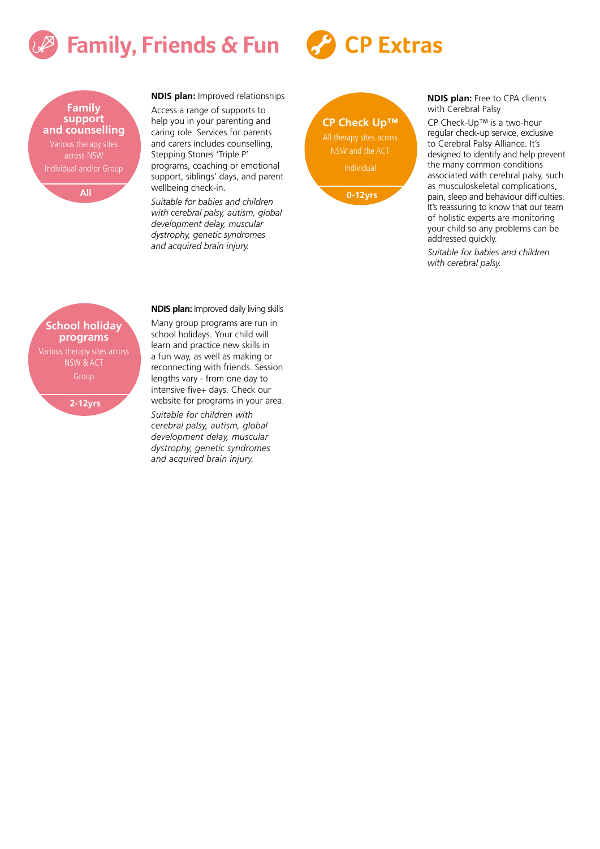## **Family, Friends & Fun**



**NDIS plan:** Improved relationships

Access a range of supports to help you in your parenting and caring role. Services for parents and carers includes counselling, Stepping Stones 'Triple P' programs, coaching or emotional support, siblings' days, and parent wellbeing check-in.

*Suitable for babies and children with cerebral palsy, autism, global development delay, muscular dystrophy, genetic syndromes and acquired brain injury.*

**CP Check Up™** All therapy sites across NSW and the ACT Individual **0-12yrs**

**CP Extras**

#### **NDIS plan:** Free to CPA clients with Cerebral Palsy

CP Check-Up™ is a two-hour regular check-up service, exclusive to Cerebral Palsy Alliance. It's designed to identify and help prevent the many common conditions associated with cerebral palsy, such as musculoskeletal complications, pain, sleep and behaviour difficulties. It's reassuring to know that our team of holistic experts are monitoring your child so any problems can be addressed quickly.

*Suitable for babies and children with cerebral palsy.*

### **School holiday programs** NSW & ACT Group

**2-12yrs**

Many group programs are run in school holidays. Your child will learn and practice new skills in a fun way, as well as making or reconnecting with friends. Session lengths vary - from one day to intensive five+ days. Check our website for programs in your area.

**NDIS plan:** Improved daily living skills

*Suitable for children with cerebral palsy, autism, global development delay, muscular dystrophy, genetic syndromes and acquired brain injury.*